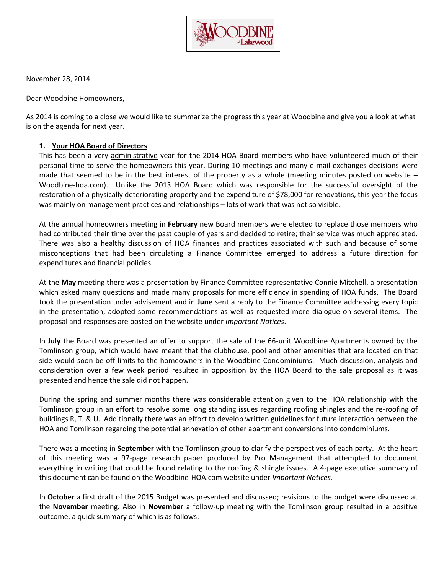

November 28, 2014

Dear Woodbine Homeowners,

As 2014 is coming to a close we would like to summarize the progress this year at Woodbine and give you a look at what is on the agenda for next year.

## **1. Your HOA Board of Directors**

This has been a very administrative year for the 2014 HOA Board members who have volunteered much of their personal time to serve the homeowners this year. During 10 meetings and many e-mail exchanges decisions were made that seemed to be in the best interest of the property as a whole (meeting minutes posted on website – Woodbine-hoa.com). Unlike the 2013 HOA Board which was responsible for the successful oversight of the restoration of a physically deteriorating property and the expenditure of \$78,000 for renovations, this year the focus was mainly on management practices and relationships – lots of work that was not so visible.

At the annual homeowners meeting in **February** new Board members were elected to replace those members who had contributed their time over the past couple of years and decided to retire; their service was much appreciated. There was also a healthy discussion of HOA finances and practices associated with such and because of some misconceptions that had been circulating a Finance Committee emerged to address a future direction for expenditures and financial policies.

At the **May** meeting there was a presentation by Finance Committee representative Connie Mitchell, a presentation which asked many questions and made many proposals for more efficiency in spending of HOA funds. The Board took the presentation under advisement and in **June** sent a reply to the Finance Committee addressing every topic in the presentation, adopted some recommendations as well as requested more dialogue on several items. The proposal and responses are posted on the website under *Important Notices*.

In **July** the Board was presented an offer to support the sale of the 66-unit Woodbine Apartments owned by the Tomlinson group, which would have meant that the clubhouse, pool and other amenities that are located on that side would soon be off limits to the homeowners in the Woodbine Condominiums. Much discussion, analysis and consideration over a few week period resulted in opposition by the HOA Board to the sale proposal as it was presented and hence the sale did not happen.

During the spring and summer months there was considerable attention given to the HOA relationship with the Tomlinson group in an effort to resolve some long standing issues regarding roofing shingles and the re-roofing of buildings R, T, & U. Additionally there was an effort to develop written guidelines for future interaction between the HOA and Tomlinson regarding the potential annexation of other apartment conversions into condominiums.

There was a meeting in **September** with the Tomlinson group to clarify the perspectives of each party. At the heart of this meeting was a 97-page research paper produced by Pro Management that attempted to document everything in writing that could be found relating to the roofing & shingle issues. A 4-page executive summary of this document can be found on the Woodbine-HOA.com website under *Important Notices.*

In **October** a first draft of the 2015 Budget was presented and discussed; revisions to the budget were discussed at the **November** meeting. Also in **November** a follow-up meeting with the Tomlinson group resulted in a positive outcome, a quick summary of which is as follows: